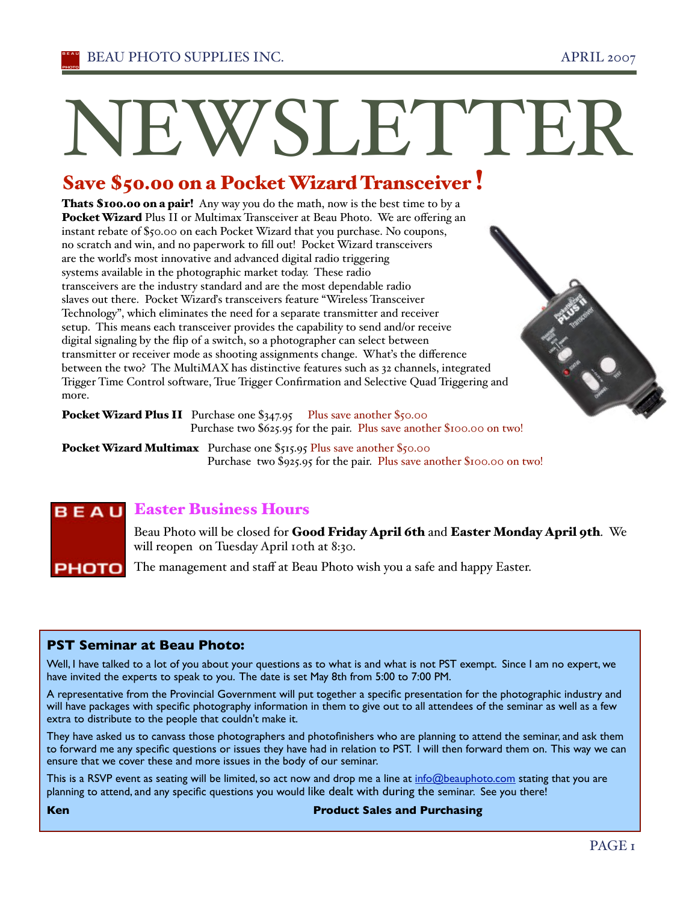# NEWSLETTER

# Save \$50.00 on a Pocket Wizard Transceiver !

Thats \$100.00 on a pair! Any way you do the math, now is the best time to by a Pocket Wizard Plus II or Multimax Transceiver at Beau Photo. We are offering an instant rebate of \$50.00 on each Pocket Wizard that you purchase. No coupons, no scratch and win, and no paperwork to fill out! Pocket Wizard transceivers are the worlďs most innovative and advanced digital radio triggering systems available in the photographic market today. These radio transceivers are the industry standard and are the most dependable radio slaves out there. Pocket Wizarďs transceivers feature "Wireless Transceiver Technology", which eliminates the need for a separate transmitter and receiver setup. This means each transceiver provides the capability to send and/or receive digital signaling by the flip of a switch, so a photographer can select between transmitter or receiver mode as shooting assignments change. Whaťs the difference between the two? The MultiMAX has distinctive features such as 32 channels, integrated Trigger Time Control software, True Trigger Confirmation and Selective Quad Triggering and more.

Pocket Wizard Plus II Purchase one \$347.95 Plus save another \$50.00 Purchase two \$625.95 for the pair. Plus save another \$100.00 on two!

Pocket Wizard Multimax Purchase one \$515.95 Plus save another \$50.00 Purchase two \$925.95 for the pair. Plus save another \$100.00 on two!

# **B E A U** Easter Business Hours

Beau Photo will be closed for **Good Friday April 6th** and **Easter Monday April 9th**. We will reopen on Tuesday April 10th at 8:30.

The management and staff at Beau Photo wish you a safe and happy Easter. рното і

# **PST Seminar at Beau Photo:**

Well, I have talked to a lot of you about your questions as to what is and what is not PST exempt. Since I am no expert, we have invited the experts to speak to you. The date is set May 8th from 5:00 to 7:00 PM.

A representative from the Provincial Government will put together a specific presentation for the photographic industry and will have packages with specific photography information in them to give out to all attendees of the seminar as well as a few extra to distribute to the people that couldn't make it.

They have asked us to canvass those photographers and photofinishers who are planning to attend the seminar, and ask them to forward me any specific questions or issues they have had in relation to PST. I will then forward them on. This way we can ensure that we cover these and more issues in the body of our seminar.

This is a RSVP event as seating will be limited, so act now and drop me a line at info@beauphoto.com stating that you are planning to attend, and any specific questions you would like dealt with during the seminar. See you there!

### **Ken Product Sales and Purchasing**

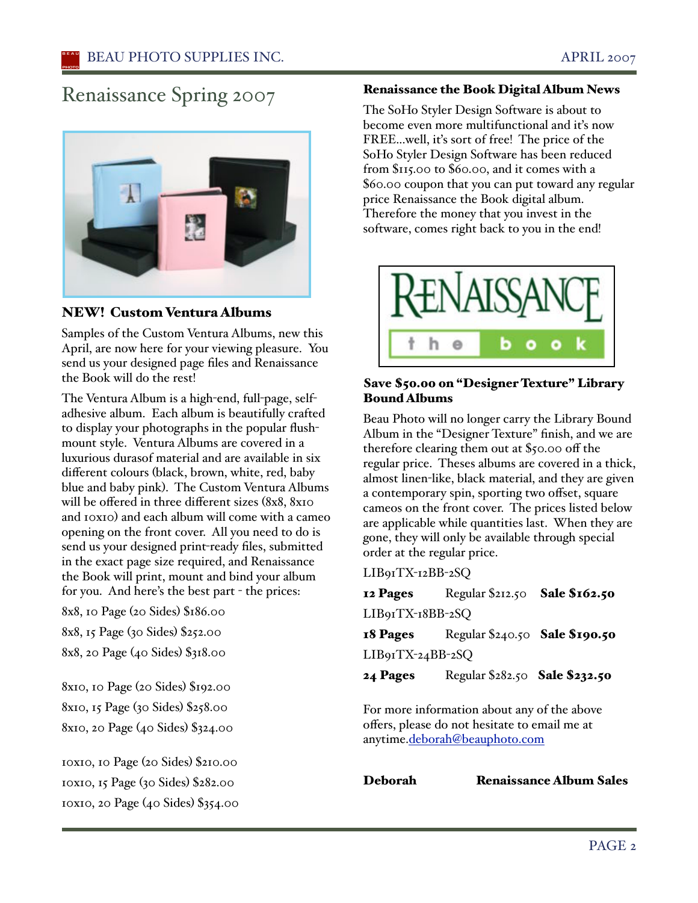# Renaissance Spring 2007



# NEW! Custom Ventura Albums

Samples of the Custom Ventura Albums, new this April, are now here for your viewing pleasure. You send us your designed page files and Renaissance the Book will do the rest!

The Ventura Album is a high-end, full-page, selfadhesive album. Each album is beautifully crafted to display your photographs in the popular flushmount style. Ventura Albums are covered in a luxurious durasof material and are available in six different colours (black, brown, white, red, baby blue and baby pink). The Custom Ventura Albums will be offered in three different sizes (8x8, 8x10 and 10x10) and each album will come with a cameo opening on the front cover. All you need to do is send us your designed print-ready files, submitted in the exact page size required, and Renaissance the Book will print, mount and bind your album for you. And here's the best part - the prices:

8x8, 10 Page (20 Sides) \$186.00

8x8, 15 Page (30 Sides) \$252.00

8x8, 20 Page (40 Sides) \$318.00

8x10, 10 Page (20 Sides) \$192.00 8x10, 15 Page (30 Sides) \$258.00 8x10, 20 Page (40 Sides) \$324.00

10x10, 10 Page (20 Sides) \$210.00 10x10, 15 Page (30 Sides) \$282.00 10x10, 20 Page (40 Sides) \$354.00

# Renaissance the Book Digital Album News

The SoHo Styler Design Software is about to become even more multifunctional and it's now FREE...well, iťs sort of free! The price of the SoHo Styler Design Software has been reduced from \$115.00 to \$60.00, and it comes with a \$60.00 coupon that you can put toward any regular price Renaissance the Book digital album. Therefore the money that you invest in the software, comes right back to you in the end!



# Save \$50.00 on "Designer Texture" Library Bound Albums

Beau Photo will no longer carry the Library Bound Album in the "Designer Texture" finish, and we are therefore clearing them out at \$50.00 off the regular price. Theses albums are covered in a thick, almost linen-like, black material, and they are given a contemporary spin, sporting two offset, square cameos on the front cover. The prices listed below are applicable while quantities last. When they are gone, they will only be available through special order at the regular price.

LIB91TX-12BB-2SQ

**12 Pages** Regular \$212.50 **Sale \$162.50** LIB91TX-18BB-2SQ 18 Pages Regular \$240.50 Sale \$190.50

LIB91TX-24BB-2SQ

**24 Pages** Regular \$282.50 Sale \$232.50

For more information about any of the above offers, please do not hesitate to email me at anytime.deborah@beauphoto.com

Deborah Renaissance Album Sales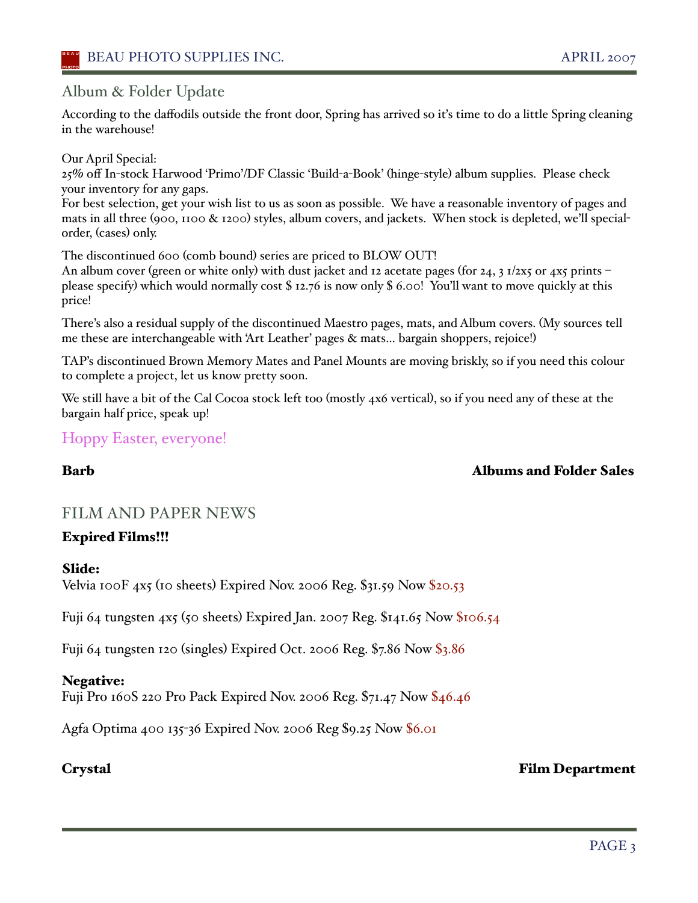# Album & Folder Update

According to the daffodils outside the front door, Spring has arrived so it's time to do a little Spring cleaning in the warehouse!

Our April Special:

25% off In-stock Harwood 'Primo'/DF Classic 'Build-a-Book' (hinge-style) album supplies. Please check your inventory for any gaps.

For best selection, get your wish list to us as soon as possible. We have a reasonable inventory of pages and mats in all three (900, 1100 & 1200) styles, album covers, and jackets. When stock is depleted, we'll specialorder, (cases) only.

The discontinued 600 (comb bound) series are priced to BLOW OUT!

An album cover (green or white only) with dust jacket and 12 acetate pages (for 24, 3 1/2x5 or 4x5 prints – please specify) which would normally cost \$ 12.76 is now only \$ 6.00! You'll want to move quickly at this price!

There's also a residual supply of the discontinued Maestro pages, mats, and Album covers. (My sources tell me these are interchangeable with 'Art Leather' pages & mats… bargain shoppers, rejoice!)

TAP's discontinued Brown Memory Mates and Panel Mounts are moving briskly, so if you need this colour to complete a project, let us know pretty soon.

We still have a bit of the Cal Cocoa stock left too (mostly 4x6 vertical), so if you need any of these at the bargain half price, speak up!

# Hoppy Easter, everyone!

# Barb Albums and Folder Sales

# FILM AND PAPER NEWS

# Expired Films!!!

# Slide:

Velvia 100F  $4x5$  (10 sheets) Expired Nov. 2006 Reg. \$31.59 Now \$20.53

Fuji 64 tungsten 4x5 (50 sheets) Expired Jan. 2007 Reg. \$141.65 Now \$106.54

Fuji 64 tungsten 120 (singles) Expired Oct. 2006 Reg. \$7.86 Now \$3.86

# Negative:

Fuji Pro 160S 220 Pro Pack Expired Nov. 2006 Reg. \$71.47 Now \$46.46

Agfa Optima 400 135-36 Expired Nov. 2006 Reg \$9.25 Now \$6.01

# Crystal Film Department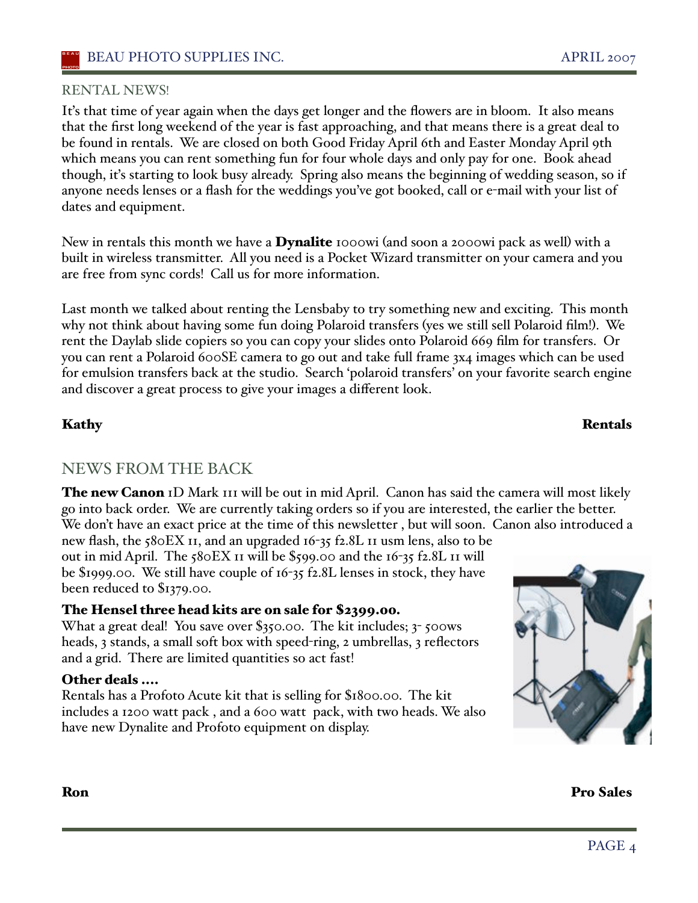# RENTAL NEWS!

Iťs that time of year again when the days get longer and the flowers are in bloom. It also means that the first long weekend of the year is fast approaching, and that means there is a great deal to be found in rentals. We are closed on both Good Friday April 6th and Easter Monday April 9th which means you can rent something fun for four whole days and only pay for one. Book ahead though, iťs starting to look busy already. Spring also means the beginning of wedding season, so if anyone needs lenses or a flash for the weddings you've got booked, call or e-mail with your list of dates and equipment.

New in rentals this month we have a **Dynalite** 1000wi (and soon a 2000wi pack as well) with a built in wireless transmitter. All you need is a Pocket Wizard transmitter on your camera and you are free from sync cords! Call us for more information.

Last month we talked about renting the Lensbaby to try something new and exciting. This month why not think about having some fun doing Polaroid transfers (yes we still sell Polaroid film!). We rent the Daylab slide copiers so you can copy your slides onto Polaroid 669 film for transfers. Or you can rent a Polaroid 600SE camera to go out and take full frame 3x4 images which can be used for emulsion transfers back at the studio. Search 'polaroid transfers' on your favorite search engine and discover a great process to give your images a different look.

# NEWS FROM THE BACK

The new Canon ID Mark III will be out in mid April. Canon has said the camera will most likely go into back order. We are currently taking orders so if you are interested, the earlier the better. We don't have an exact price at the time of this newsletter, but will soon. Canon also introduced a

new flash, the 580EX 11, and an upgraded 16-35 f2.8L 11 usm lens, also to be out in mid April. The 580EX 11 will be \$599.00 and the 16-35 f2.8L 11 will be \$1999.00. We still have couple of 16-35 f2.8L lenses in stock, they have been reduced to \$1379.00.

# The Hensel three head kits are on sale for \$2399.00.

What a great deal! You save over \$350.00. The kit includes; 3-500ws heads, 3 stands, a small soft box with speed-ring, 2 umbrellas, 3 reflectors and a grid. There are limited quantities so act fast!

# Other deals ....

Rentals has a Profoto Acute kit that is selling for \$1800.00. The kit includes a 1200 watt pack , and a 600 watt pack, with two heads. We also have new Dynalite and Profoto equipment on display.



Ron Pro Sales

# Kathy Rentals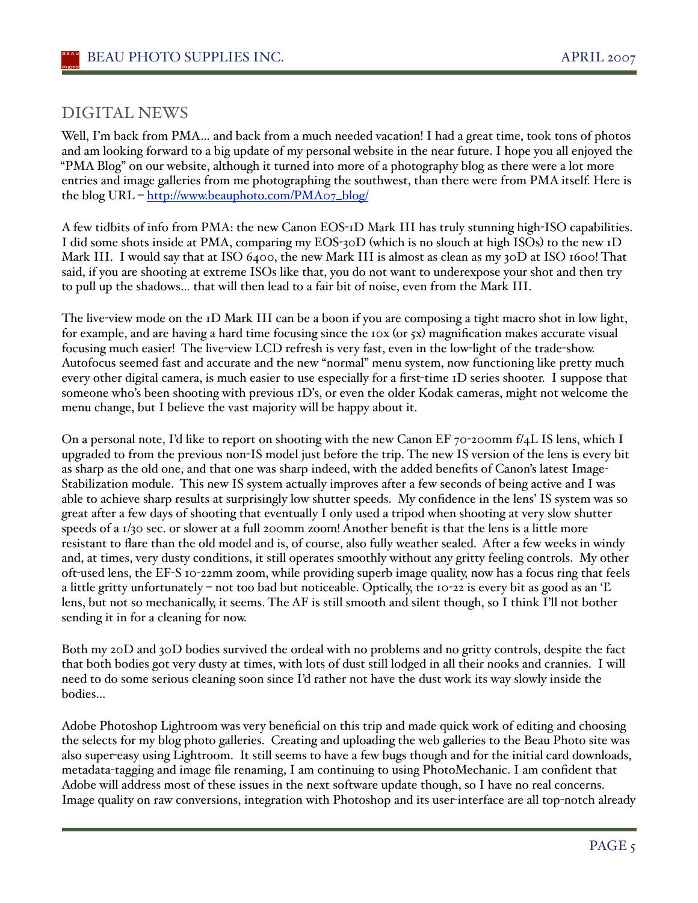# DIGITAL NEWS

Well, I'm back from PMA... and back from a much needed vacation! I had a great time, took tons of photos and am looking forward to a big update of my personal website in the near future. I hope you all enjoyed the "PMA Blog" on our website, although it turned into more of a photography blog as there were a lot more entries and image galleries from me photographing the southwest, than there were from PMA itself. Here is the blog URL – http://www.beauphoto.com/PMA07\_blog/

A few tidbits of info from PMA: the new Canon EOS-1D Mark III has truly stunning high-ISO capabilities. I did some shots inside at PMA, comparing my EOS-30D (which is no slouch at high ISOs) to the new 1D Mark III. I would say that at ISO 6400, the new Mark III is almost as clean as my 30D at ISO 1600! That said, if you are shooting at extreme ISOs like that, you do not want to underexpose your shot and then try to pull up the shadows… that will then lead to a fair bit of noise, even from the Mark III.

The live-view mode on the 1D Mark III can be a boon if you are composing a tight macro shot in low light, for example, and are having a hard time focusing since the  $\log$  (or  $\frac{1}{2}x$ ) magnification makes accurate visual focusing much easier! The live-view LCD refresh is very fast, even in the low-light of the trade-show. Autofocus seemed fast and accurate and the new "normal" menu system, now functioning like pretty much every other digital camera, is much easier to use especially for a first-time 1D series shooter. I suppose that someone who's been shooting with previous 1D's, or even the older Kodak cameras, might not welcome the menu change, but I believe the vast majority will be happy about it.

On a personal note, I'd like to report on shooting with the new Canon EF  $70$ -200mm f/4L IS lens, which I upgraded to from the previous non-IS model just before the trip. The new IS version of the lens is every bit as sharp as the old one, and that one was sharp indeed, with the added benefits of Canon's latest Image-Stabilization module. This new IS system actually improves after a few seconds of being active and I was able to achieve sharp results at surprisingly low shutter speeds. My confidence in the lens' IS system was so great after a few days of shooting that eventually I only used a tripod when shooting at very slow shutter speeds of a 1/30 sec. or slower at a full 200mm zoom! Another benefit is that the lens is a little more resistant to flare than the old model and is, of course, also fully weather sealed. After a few weeks in windy and, at times, very dusty conditions, it still operates smoothly without any gritty feeling controls. My other oft-used lens, the EF-S 10-22mm zoom, while providing superb image quality, now has a focus ring that feels a little gritty unfortunately – not too bad but noticeable. Optically, the 10-22 is every bit as good as an 'Ľ lens, but not so mechanically, it seems. The AF is still smooth and silent though, so I think I'll not bother sending it in for a cleaning for now.

Both my 20D and 30D bodies survived the ordeal with no problems and no gritty controls, despite the fact that both bodies got very dusty at times, with lots of dust still lodged in all their nooks and crannies. I will need to do some serious cleaning soon since I'd rather not have the dust work its way slowly inside the bodies…

Adobe Photoshop Lightroom was very beneficial on this trip and made quick work of editing and choosing the selects for my blog photo galleries. Creating and uploading the web galleries to the Beau Photo site was also super-easy using Lightroom. It still seems to have a few bugs though and for the initial card downloads, metadata-tagging and image file renaming, I am continuing to using PhotoMechanic. I am confident that Adobe will address most of these issues in the next software update though, so I have no real concerns. Image quality on raw conversions, integration with Photoshop and its user-interface are all top-notch already